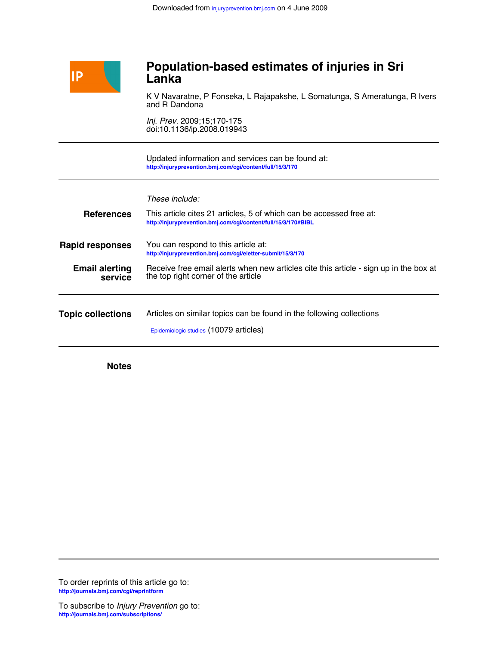

# **Lanka Population-based estimates of injuries in Sri**

and R Dandona K V Navaratne, P Fonseka, L Rajapakshe, L Somatunga, S Ameratunga, R Ivers

doi:10.1136/ip.2008.019943 *Inj. Prev.* 2009;15;170-175

**<http://injuryprevention.bmj.com/cgi/content/full/15/3/170>** Updated information and services can be found at:

| <b>References</b>                | These include:<br>This article cites 21 articles, 5 of which can be accessed free at:<br>http://injuryprevention.bmj.com/cqi/content/full/15/3/170#BIBL |  |  |  |  |
|----------------------------------|---------------------------------------------------------------------------------------------------------------------------------------------------------|--|--|--|--|
| <b>Rapid responses</b>           | You can respond to this article at:<br>http://injuryprevention.bmj.com/cgi/eletter-submit/15/3/170                                                      |  |  |  |  |
| <b>Email alerting</b><br>service | Receive free email alerts when new articles cite this article - sign up in the box at<br>the top right corner of the article                            |  |  |  |  |
| <b>Topic collections</b>         | Articles on similar topics can be found in the following collections<br>Epidemiologic studies (10079 articles)                                          |  |  |  |  |

**Notes**

**<http://journals.bmj.com/cgi/reprintform>** To order reprints of this article go to: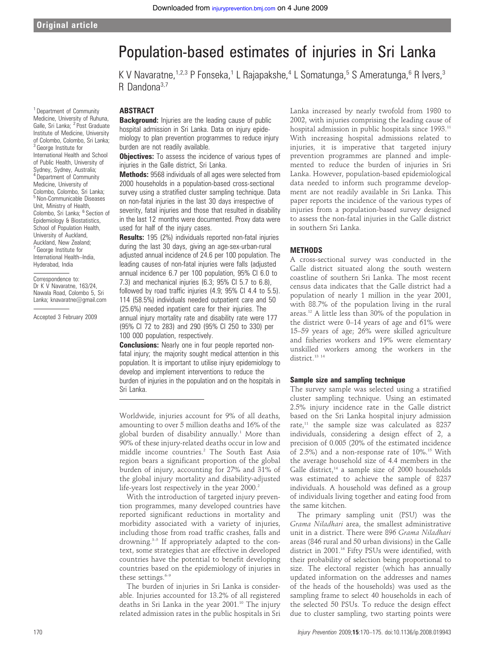# Population-based estimates of injuries in Sri Lanka

K V Navaratne,  $1,2,3$  P Fonseka,<sup>1</sup> L Rajapakshe,  $4$  L Somatunga,  $5$  S Ameratunga,  $6$  R Ivers,  $3$ R Dandona<sup>3,7</sup>

**ABSTRACT** 

**Background:** Injuries are the leading cause of public hospital admission in Sri Lanka. Data on injury epidemiology to plan prevention programmes to reduce injury burden are not readily available.

**Objectives:** To assess the incidence of various types of injuries in the Galle district, Sri Lanka.

Methods: 9568 individuals of all ages were selected from 2000 households in a population-based cross-sectional survey using a stratified cluster sampling technique. Data on non-fatal injuries in the last 30 days irrespective of severity, fatal injuries and those that resulted in disability in the last 12 months were documented. Proxy data were used for half of the injury cases.

Results: 195 (2%) individuals reported non-fatal injuries during the last 30 days, giving an age-sex-urban-rural adjusted annual incidence of 24.6 per 100 population. The leading causes of non-fatal injuries were falls (adjusted annual incidence 6.7 per 100 population, 95% CI 6.0 to 7.3) and mechanical injuries (6.3; 95% CI 5.7 to 6.8), followed by road traffic injuries (4.9; 95% CI 4.4 to 5.5). 114 (58.5%) individuals needed outpatient care and 50 (25.6%) needed inpatient care for their injuries. The annual injury mortality rate and disability rate were 177 (95% CI 72 to 283) and 290 (95% CI 250 to 330) per 100 000 population, respectively.

**Conclusions:** Nearly one in four people reported nonfatal injury; the majority sought medical attention in this population. It is important to utilise injury epidemiology to develop and implement interventions to reduce the burden of injuries in the population and on the hospitals in Sri Lanka.

Worldwide, injuries account for 9% of all deaths, amounting to over 5 million deaths and 16% of the global burden of disability annually.<sup>1</sup> More than 90% of these injury-related deaths occur in low and middle income countries.2 The South East Asia region bears a significant proportion of the global burden of injury, accounting for 27% and 31% of the global injury mortality and disability-adjusted life-years lost respectively in the year 2000.<sup>2</sup>

With the introduction of targeted injury prevention programmes, many developed countries have reported significant reductions in mortality and morbidity associated with a variety of injuries, including those from road traffic crashes, falls and drowning.<sup>3-5</sup> If appropriately adapted to the context, some strategies that are effective in developed countries have the potential to benefit developing countries based on the epidemiology of injuries in these settings. $6-9$ 

The burden of injuries in Sri Lanka is considerable. Injuries accounted for 13.2% of all registered deaths in Sri Lanka in the year 2001.<sup>10</sup> The injury related admission rates in the public hospitals in Sri

Lanka increased by nearly twofold from 1980 to 2002, with injuries comprising the leading cause of hospital admission in public hospitals since 1993.<sup>11</sup> With increasing hospital admissions related to injuries, it is imperative that targeted injury prevention programmes are planned and implemented to reduce the burden of injuries in Sri Lanka. However, population-based epidemiological data needed to inform such programme development are not readily available in Sri Lanka. This paper reports the incidence of the various types of injuries from a population-based survey designed to assess the non-fatal injuries in the Galle district in southern Sri Lanka.

#### **METHODS**

A cross-sectional survey was conducted in the Galle district situated along the south western coastline of southern Sri Lanka. The most recent census data indicates that the Galle district had a population of nearly 1 million in the year 2001, with 88.7% of the population living in the rural areas.12 A little less than 30% of the population in the district were 0–14 years of age and 61% were 15–59 years of age; 26% were skilled agriculture and fisheries workers and 19% were elementary unskilled workers among the workers in the district.<sup>13</sup> <sup>14</sup>

#### Sample size and sampling technique

The survey sample was selected using a stratified cluster sampling technique. Using an estimated 2.5% injury incidence rate in the Galle district based on the Sri Lanka hospital injury admission rate,<sup>11</sup> the sample size was calculated as 8237 individuals, considering a design effect of 2, a precision of 0.005 (20% of the estimated incidence of 2.5%) and a non-response rate of  $10\%$ .<sup>15</sup> With the average household size of 4.4 members in the Galle district, $14$  a sample size of 2000 households was estimated to achieve the sample of 8237 individuals. A household was defined as a group of individuals living together and eating food from the same kitchen.

The primary sampling unit (PSU) was the Grama Niladhari area, the smallest administrative unit in a district. There were 896 Grama Niladhari areas (846 rural and 50 urban divisions) in the Galle district in 2001.16 Fifty PSUs were identified, with their probability of selection being proportional to size. The electoral register (which has annually updated information on the addresses and names of the heads of the households) was used as the sampling frame to select 40 households in each of the selected 50 PSUs. To reduce the design effect due to cluster sampling, two starting points were

<sup>1</sup> Department of Community Medicine, University of Ruhuna, Galle, Sri Lanka; <sup>2</sup> Post Graduate Institute of Medicine, University of Colombo, Colombo, Sri Lanka;  $3$  George Institute for International Health and School of Public Health, University of Sydney, Sydney, Australia; <sup>4</sup> Department of Community Medicine, University of Colombo, Colombo, Sri Lanka; <sup>5</sup> Non-Communicable Diseases Unit, Ministry of Health, Colombo, Sri Lanka; <sup>6</sup> Section of Epidemiology & Biostatistics, School of Population Health, University of Auckland, Auckland, New Zealand; <sup>7</sup> George Institute for International Health–India, Hyderabad, India

Correspondence to: Dr K V Navaratne, 163/24, Nawala Road, Colombo 5, Sri Lanka; knavaratne@gmail.com

Accepted 3 February 2009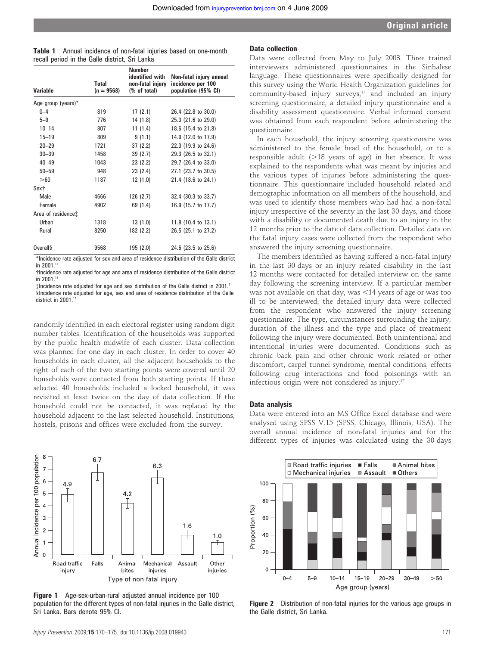| Table 1 Annual incidence of non-fatal injuries based on one-month |  |  |  |
|-------------------------------------------------------------------|--|--|--|
| recall period in the Galle district, Sri Lanka                    |  |  |  |

| Variable                       | <b>Total</b><br>$(n = 9568)$ | <b>Number</b><br>identified with<br>non-fatal injury<br>(% of total) | Non-fatal injury annual<br>incidence per 100<br>population (95% CI) |
|--------------------------------|------------------------------|----------------------------------------------------------------------|---------------------------------------------------------------------|
| Age group (years)*             |                              |                                                                      |                                                                     |
| $0 - 4$                        | 819                          | 17(2.1)                                                              | 26.4 (22.8 to 30.0)                                                 |
| $5 - 9$                        | 776                          | 14 (1.8)                                                             | 25.3 (21.6 to 29.0)                                                 |
| $10 - 14$                      | 807                          | 11(1.4)                                                              | 18.6 (15.4 to 21.8)                                                 |
| $15 - 19$                      | 809                          | 9(1.1)                                                               | 14.9 (12.0 to 17.9)                                                 |
| $20 - 29$                      | 1721                         | 37(2.2)                                                              | 22.3 (19.9 to 24.6)                                                 |
| $30 - 39$                      | 1458                         | 39(2.7)                                                              | 29.3 (26.5 to 32.1)                                                 |
| $40 - 49$                      | 1043                         | 23(2.2)                                                              | 29.7 (26.4 to 33.0)                                                 |
| $50 - 59$                      | 948                          | 23(2.4)                                                              | 27.1 (23.7 to 30.5)                                                 |
| $\geqslant$ 60                 | 1187                         | 12(1.0)                                                              | 21.4 (18.6 to 24.1)                                                 |
| Sex†                           |                              |                                                                      |                                                                     |
| Male                           | 4666                         | 126(2.7)                                                             | 32.4 (30.3 to 33.7)                                                 |
| Female                         | 4902                         | 69 (1.4)                                                             | 16.9 (15.7 to 17.7)                                                 |
| Area of residence <sup>+</sup> |                              |                                                                      |                                                                     |
| Urban                          | 1318                         | 13(1.0)                                                              | 11.8 (10.4 to 13.1)                                                 |
| Rural                          | 8250                         | 182 (2.2)                                                            | 26.5 (25.1 to 27.2)                                                 |
| <b>Overall</b>                 | 9568                         | 195 (2.0)                                                            | 24.6 (23.5 to 25.6)                                                 |

\*Incidence rate adjusted for sex and area of residence distribution of the Galle district in 2001.<sup>13</sup>

†Incidence rate adjusted for age and area of residence distribution of the Galle district<br>in 2001.<sup>13</sup>

{Incidence rate adjusted for age and sex distribution of the Galle district in 2001.<sup>11</sup> sIncidence rate adjusted for age, sex and area of residence distribution of the Galle district in 2001.<sup>13</sup>

randomly identified in each electoral register using random digit number tables. Identification of the households was supported by the public health midwife of each cluster. Data collection was planned for one day in each cluster. In order to cover 40 households in each cluster, all the adjacent households to the right of each of the two starting points were covered until 20 households were contacted from both starting points. If these selected 40 households included a locked household, it was revisited at least twice on the day of data collection. If the household could not be contacted, it was replaced by the household adjacent to the last selected household. Institutions, hostels, prisons and offices were excluded from the survey.



Figure 1 Age-sex-urban-rural adjusted annual incidence per 100 population for the different types of non-fatal injuries in the Galle district, Sri Lanka. Bars denote 95% CI.

#### Data collection

Data were collected from May to July 2003. Three trained interviewers administered questionnaires in the Sinhalese language. These questionnaires were specifically designed for this survey using the World Health Organization guidelines for community-based injury surveys,<sup>17</sup> and included an injury screening questionnaire, a detailed injury questionnaire and a disability assessment questionnaire. Verbal informed consent was obtained from each respondent before administering the questionnaire.

In each household, the injury screening questionnaire was administered to the female head of the household, or to a responsible adult  $(>18$  years of age) in her absence. It was explained to the respondents what was meant by injuries and the various types of injuries before administering the questionnaire. This questionnaire included household related and demographic information on all members of the household, and was used to identify those members who had had a non-fatal injury irrespective of the severity in the last 30 days, and those with a disability or documented death due to an injury in the 12 months prior to the date of data collection. Detailed data on the fatal injury cases were collected from the respondent who answered the injury screening questionnaire.

The members identified as having suffered a non-fatal injury in the last 30 days or an injury related disability in the last 12 months were contacted for detailed interview on the same day following the screening interview. If a particular member was not available on that day, was  $\leq$ 14 years of age or was too ill to be interviewed, the detailed injury data were collected from the respondent who answered the injury screening questionnaire. The type, circumstances surrounding the injury, duration of the illness and the type and place of treatment following the injury were documented. Both unintentional and intentional injuries were documented. Conditions such as chronic back pain and other chronic work related or other discomfort, carpel tunnel syndrome, mental conditions, effects following drug interactions and food poisonings with an infectious origin were not considered as injury.<sup>17</sup>

#### Data analysis

Data were entered into an MS Office Excel database and were analysed using SPSS V.15 (SPSS, Chicago, Illinois, USA). The overall annual incidence of non-fatal injuries and for the different types of injuries was calculated using the 30 days



Figure 2 Distribution of non-fatal injuries for the various age groups in the Galle district, Sri Lanka.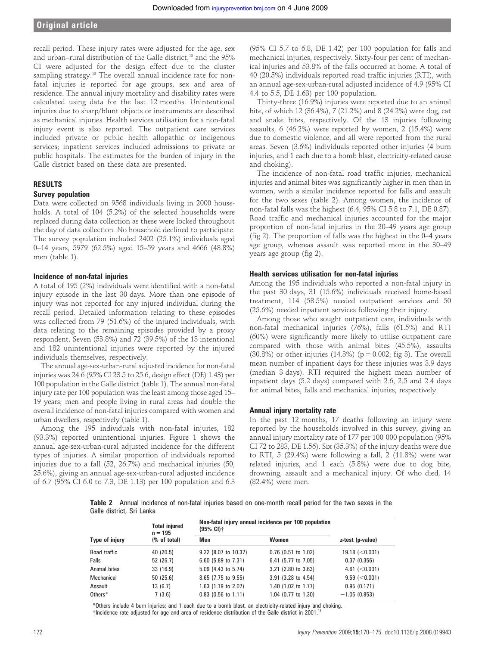## Original article

recall period. These injury rates were adjusted for the age, sex and urban–rural distribution of the Galle district,<sup>13</sup> and the 95% CI were adjusted for the design effect due to the cluster sampling strategy.<sup>18</sup> The overall annual incidence rate for nonfatal injuries is reported for age groups, sex and area of residence. The annual injury mortality and disability rates were calculated using data for the last 12 months. Unintentional injuries due to sharp/blunt objects or instruments are described as mechanical injuries. Health services utilisation for a non-fatal injury event is also reported. The outpatient care services included private or public health allopathic or indigenous services; inpatient services included admissions to private or public hospitals. The estimates for the burden of injury in the Galle district based on these data are presented.

#### RESULTS

#### Survey population

Data were collected on 9568 individuals living in 2000 households. A total of 104 (5.2%) of the selected households were replaced during data collection as these were locked throughout the day of data collection. No household declined to participate. The survey population included 2402 (25.1%) individuals aged 0–14 years, 5979 (62.5%) aged 15–59 years and 4666 (48.8%) men (table 1).

#### Incidence of non-fatal injuries

A total of 195 (2%) individuals were identified with a non-fatal injury episode in the last 30 days. More than one episode of injury was not reported for any injured individual during the recall period. Detailed information relating to these episodes was collected from 79 (51.6%) of the injured individuals, with data relating to the remaining episodes provided by a proxy respondent. Seven (53.8%) and 72 (39.5%) of the 13 intentional and 182 unintentional injuries were reported by the injured individuals themselves, respectively.

The annual age-sex-urban-rural adjusted incidence for non-fatal injuries was 24.6 (95% CI 23.5 to 25.6, design effect (DE) 1.43) per 100 population in the Galle district (table 1). The annual non-fatal injury rate per 100 population was the least among those aged 15– 19 years; men and people living in rural areas had double the overall incidence of non-fatal injuries compared with women and urban dwellers, respectively (table 1).

Among the 195 individuals with non-fatal injuries, 182 (93.3%) reported unintentional injuries. Figure 1 shows the annual age-sex-urban-rural adjusted incidence for the different types of injuries. A similar proportion of individuals reported injuries due to a fall (52, 26.7%) and mechanical injuries (50, 25.6%), giving an annual age-sex-urban-rural adjusted incidence of 6.7 (95% CI 6.0 to 7.3, DE 1.13) per 100 population and 6.3

(95% CI 5.7 to 6.8, DE 1.42) per 100 population for falls and mechanical injuries, respectively. Sixty-four per cent of mechanical injuries and 53.8% of the falls occurred at home. A total of 40 (20.5%) individuals reported road traffic injuries (RTI), with an annual age-sex-urban-rural adjusted incidence of 4.9 (95% CI 4.4 to 5.5, DE 1.63) per 100 population.

Thirty-three (16.9%) injuries were reported due to an animal bite, of which 12 (36.4%), 7 (21.2%) and 8 (24.2%) were dog, cat and snake bites, respectively. Of the 13 injuries following assaults, 6 (46.2%) were reported by women, 2 (15.4%) were due to domestic violence, and all were reported from the rural areas. Seven (3.6%) individuals reported other injuries (4 burn injuries, and 1 each due to a bomb blast, electricity-related cause and choking).

The incidence of non-fatal road traffic injuries, mechanical injuries and animal bites was significantly higher in men than in women, with a similar incidence reported for falls and assault for the two sexes (table 2). Among women, the incidence of non-fatal falls was the highest (6.4, 95% CI 5.8 to 7.1, DE 0.87). Road traffic and mechanical injuries accounted for the major proportion of non-fatal injuries in the 20–49 years age group (fig 2). The proportion of falls was the highest in the 0–4 years age group, whereas assault was reported more in the 30–49 years age group (fig 2).

#### Health services utilisation for non-fatal injuries

Among the 195 individuals who reported a non-fatal injury in the past 30 days, 31 (15.6%) individuals received home-based treatment, 114 (58.5%) needed outpatient services and 50 (25.6%) needed inpatient services following their injury.

Among those who sought outpatient care, individuals with non-fatal mechanical injuries (76%), falls (61.5%) and RTI (60%) were significantly more likely to utilise outpatient care compared with those with animal bites (45.5%), assaults (30.8%) or other injuries (14.3%) ( $p = 0.002$ ; fig 3). The overall mean number of inpatient days for these injuries was 3.9 days (median 3 days). RTI required the highest mean number of inpatient days (5.2 days) compared with 2.6, 2.5 and 2.4 days for animal bites, falls and mechanical injuries, respectively.

#### Annual injury mortality rate

In the past 12 months, 17 deaths following an injury were reported by the households involved in this survey, giving an annual injury mortality rate of 177 per 100 000 population (95% CI 72 to 283, DE 1.56). Six (35.3%) of the injury deaths were due to RTI, 5 (29.4%) were following a fall, 2 (11.8%) were war related injuries, and 1 each (5.8%) were due to dog bite, drowning, assault and a mechanical injury. Of who died, 14 (82.4%) were men.

Table 2 Annual incidence of non-fatal injuries based on one-month recall period for the two sexes in the Galle district, Sri Lanka

| Type of injury | <b>Total injured</b><br>$n = 195$<br>(% of total) | Non-fatal injury annual incidence per 100 population<br>$(95\% \text{ Cl})$ † |                                  |                       |
|----------------|---------------------------------------------------|-------------------------------------------------------------------------------|----------------------------------|-----------------------|
|                |                                                   | Men                                                                           | Women                            | z-test (p-value)      |
| Road traffic   | 40 (20.5)                                         | 9.22 (8.07 to 10.37)                                                          | $0.76$ (0.51 to 1.02)            | $19.18$ ( $< 0.001$ ) |
| Falls          | 52 (26.7)                                         | 6.60 (5.89 to 7.31)                                                           | 6.41 (5.77 to 7.05)              | 0.37(0.356)           |
| Animal bites   | 33(16.9)                                          | 5.09 (4.43 to 5.74)                                                           | $3.21$ $(2.80 \text{ to } 3.63)$ | $4.61$ ( $< 0.001$ )  |
| Mechanical     | 50(25.6)                                          | 8.65 (7.75 to 9.55)                                                           | 3.91 (3.28 to 4.54)              | $9.59$ ( $< 0.001$ )  |
| Assault        | 13(6.7)                                           | 1.63 (1.19 to 2.07)                                                           | 1.40 (1.02 to 1.77)              | 0.95(0.171)           |
| Others*        | 7(3.6)                                            | $0.83$ (0.56 to 1.11)                                                         | 1.04 (0.77 to 1.30)              | $-1.05(0.853)$        |

\*Others include 4 burn injuries; and 1 each due to a bomb blast, an electricity-related injury and choking. †Incidence rate adjusted for age and area of residence distribution of the Galle district in 2001.<sup>13</sup>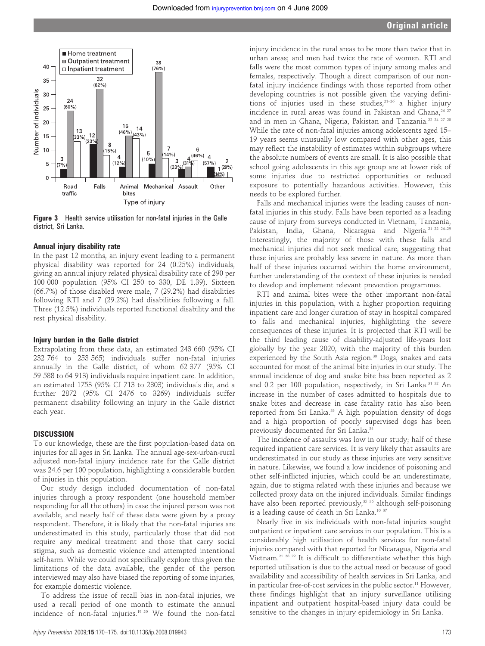

Figure 3 Health service utilisation for non-fatal injuries in the Galle district, Sri Lanka.

#### Annual injury disability rate

In the past 12 months, an injury event leading to a permanent physical disability was reported for 24 (0.25%) individuals, giving an annual injury related physical disability rate of 290 per 100 000 population (95% CI 250 to 330, DE 1.39). Sixteen (66.7%) of those disabled were male, 7 (29.2%) had disabilities following RTI and 7 (29.2%) had disabilities following a fall. Three (12.5%) individuals reported functional disability and the rest physical disability.

#### Injury burden in the Galle district

Extrapolating from these data, an estimated 243 660 (95% CI 232 764 to 253 565) individuals suffer non-fatal injuries annually in the Galle district, of whom 62 377 (95% CI 59 588 to 64 913) individuals require inpatient care. In addition, an estimated 1753 (95% CI 713 to 2803) individuals die, and a further 2872 (95% CI 2476 to 3269) individuals suffer permanent disability following an injury in the Galle district each year.

#### DISCUSSION

To our knowledge, these are the first population-based data on injuries for all ages in Sri Lanka. The annual age-sex-urban-rural adjusted non-fatal injury incidence rate for the Galle district was 24.6 per 100 population, highlighting a considerable burden of injuries in this population.

Our study design included documentation of non-fatal injuries through a proxy respondent (one household member responding for all the others) in case the injured person was not available, and nearly half of these data were given by a proxy respondent. Therefore, it is likely that the non-fatal injuries are underestimated in this study, particularly those that did not require any medical treatment and those that carry social stigma, such as domestic violence and attempted intentional self-harm. While we could not specifically explore this given the limitations of the data available, the gender of the person interviewed may also have biased the reporting of some injuries, for example domestic violence.

To address the issue of recall bias in non-fatal injuries, we used a recall period of one month to estimate the annual incidence of non-fatal injuries.19 20 We found the non-fatal

injury incidence in the rural areas to be more than twice that in urban areas; and men had twice the rate of women. RTI and falls were the most common types of injury among males and females, respectively. Though a direct comparison of our nonfatal injury incidence findings with those reported from other developing countries is not possible given the varying definitions of injuries used in these studies, $21-26$  a higher injury incidence in rural areas was found in Pakistan and Ghana,<sup>24 27</sup> and in men in Ghana, Nigeria, Pakistan and Tanzania.22 24 27 28 While the rate of non-fatal injuries among adolescents aged 15– 19 years seems unusually low compared with other ages, this may reflect the instability of estimates within subgroups where the absolute numbers of events are small. It is also possible that school going adolescents in this age group are at lower risk of some injuries due to restricted opportunities or reduced exposure to potentially hazardous activities. However, this needs to be explored further.

Falls and mechanical injuries were the leading causes of nonfatal injuries in this study. Falls have been reported as a leading cause of injury from surveys conducted in Vietnam, Tanzania, Pakistan, India, Ghana, Nicaragua and Nigeria.<sup>21 22 24–29</sup> Interestingly, the majority of those with these falls and mechanical injuries did not seek medical care, suggesting that these injuries are probably less severe in nature. As more than half of these injuries occurred within the home environment, further understanding of the context of these injuries is needed to develop and implement relevant prevention programmes.

RTI and animal bites were the other important non-fatal injuries in this population, with a higher proportion requiring inpatient care and longer duration of stay in hospital compared to falls and mechanical injuries, highlighting the severe consequences of these injuries. It is projected that RTI will be the third leading cause of disability-adjusted life-years lost globally by the year 2020, with the majority of this burden experienced by the South Asia region.<sup>30</sup> Dogs, snakes and cats accounted for most of the animal bite injuries in our study. The annual incidence of dog and snake bite has been reported as 2 and 0.2 per 100 population, respectively, in Sri Lanka.<sup>31 32</sup> An increase in the number of cases admitted to hospitals due to snake bites and decrease in case fatality ratio has also been reported from Sri Lanka.<sup>33</sup> A high population density of dogs and a high proportion of poorly supervised dogs has been previously documented for Sri Lanka.<sup>34</sup>

The incidence of assaults was low in our study; half of these required inpatient care services. It is very likely that assaults are underestimated in our study as these injuries are very sensitive in nature. Likewise, we found a low incidence of poisoning and other self-inflicted injuries, which could be an underestimate, again, due to stigma related with these injuries and because we collected proxy data on the injured individuals. Similar findings have also been reported previously,<sup>35 36</sup> although self-poisoning is a leading cause of death in Sri Lanka.10 37

Nearly five in six individuals with non-fatal injuries sought outpatient or inpatient care services in our population. This is a considerably high utilisation of health services for non-fatal injuries compared with that reported for Nicaragua, Nigeria and Vietnam.<sup>21 28 29</sup> It is difficult to differentiate whether this high reported utilisation is due to the actual need or because of good availability and accessibility of health services in Sri Lanka, and in particular free-of-cost services in the public sector.<sup>11</sup> However, these findings highlight that an injury surveillance utilising inpatient and outpatient hospital-based injury data could be sensitive to the changes in injury epidemiology in Sri Lanka.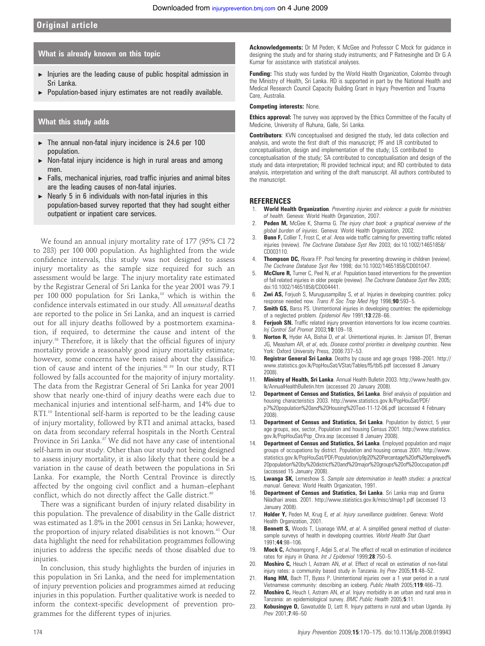### What is already known on this topic

- $\blacktriangleright$  Injuries are the leading cause of public hospital admission in Sri Lanka.
- $\blacktriangleright$  Population-based injury estimates are not readily available.

#### What this study adds

- $\blacktriangleright$  The annual non-fatal injury incidence is 24.6 per 100 population.
- $\triangleright$  Non-fatal injury incidence is high in rural areas and among men.
- $\blacktriangleright$  Falls, mechanical injuries, road traffic injuries and animal bites are the leading causes of non-fatal injuries.
- $\triangleright$  Nearly 5 in 6 individuals with non-fatal injuries in this population-based survey reported that they had sought either outpatient or inpatient care services.

We found an annual injury mortality rate of 177 (95% CI 72 to 283) per 100 000 population. As highlighted from the wide confidence intervals, this study was not designed to assess injury mortality as the sample size required for such an assessment would be large. The injury mortality rate estimated by the Registrar General of Sri Lanka for the year 2001 was 79.1 per 100 000 population for Sri Lanka,<sup>10</sup> which is within the confidence intervals estimated in our study. All unnatural deaths are reported to the police in Sri Lanka, and an inquest is carried out for all injury deaths followed by a postmortem examination, if required, to determine the cause and intent of the injury.<sup>38</sup> Therefore, it is likely that the official figures of injury mortality provide a reasonably good injury mortality estimate; however, some concerns have been raised about the classification of cause and intent of the injuries.<sup>38 39</sup> In our study, RTI followed by falls accounted for the majority of injury mortality. The data from the Registrar General of Sri Lanka for year 2001 show that nearly one-third of injury deaths were each due to mechanical injuries and intentional self-harm, and 14% due to RTI.<sup>10</sup> Intentional self-harm is reported to be the leading cause of injury mortality, followed by RTI and animal attacks, based on data from secondary referral hospitals in the North Central Province in Sri Lanka.<sup>37</sup> We did not have any case of intentional self-harm in our study. Other than our study not being designed to assess injury mortality, it is also likely that there could be a variation in the cause of death between the populations in Sri Lanka. For example, the North Central Province is directly affected by the ongoing civil conflict and a human–elephant conflict, which do not directly affect the Galle district.<sup>40</sup>

There was a significant burden of injury related disability in this population. The prevalence of disability in the Galle district was estimated as 1.8% in the 2001 census in Sri Lanka; however, the proportion of injury related disabilities is not known.<sup>41</sup> Our data highlight the need for rehabilitation programmes following injuries to address the specific needs of those disabled due to injuries.

In conclusion, this study highlights the burden of injuries in this population in Sri Lanka, and the need for implementation of injury prevention policies and programmes aimed at reducing injuries in this population. Further qualitative work is needed to inform the context-specific development of prevention programmes for the different types of injuries.

Acknowledgements: Dr M Peden, K McGee and Professor C Mock for guidance in designing the study and for sharing study instruments; and P Ratnesinghe and Dr G A Kumar for assistance with statistical analyses.

**Funding:** This study was funded by the World Health Organization, Colombo through the Ministry of Health, Sri Lanka. RD is supported in part by the National Health and Medical Research Council Capacity Building Grant in Injury Prevention and Trauma Care, Australia.

#### Competing interests: None.

**Ethics approval:** The survey was approved by the Ethics Committee of the Faculty of Medicine, University of Ruhuna, Galle, Sri Lanka.

**Contributors:** KVN conceptualised and designed the study, led data collection and analysis, and wrote the first draft of this manuscript; PF and LR contributed to conceptualisation, design and implementation of the study; LS contributed to conceptualisation of the study; SA contributed to conceptualisation and design of the study and data interpretation; RI provided technical input; and RD contributed to data analysis, interpretation and writing of the draft manuscript. All authors contributed to the manuscript.

#### **REFERENCES**

- 1. World Health Organization. Preventing injuries and violence: a guide for ministries of health. Geneva: World Health Organization, 2007.
- Peden M, McGee K, Sharma G. The injury chart book: a graphical overview of the global burden of injuries. Geneva: World Health Organization, 2002.
- 3. **Bunn F,** Collier T, Frost C, et al. Area wide traffic calming for preventing traffic related injuries (review). The Cochrane Database Syst Rev 2003; doi:10.1002/14651858/ CD003110.
- 4. **Thompson DC,** Rivara FP. Pool fencing for preventing drowning in children (review). The Cochrane Database Syst Rev 1998; doi:10.1002/14651858/CD001047.
- 5. **McClure R,** Turner C, Peel N, et al. Population based interventions for the prevention of fall related injuries in older people (review). The Cochrane Database Syst Rev 2005; doi:10.1002/14651858/CD004441.
- 6. **Zwi AS,** Forjuoh S, Murugusampillay S, et al. Injuries in developing countries: policy response needed now. Trans R Soc Trop Med Hyg 1996;90:593–5.
- 7. **Smith GS,** Barss PS. Unintentional injuries in developing countries: the epidemiology of a neglected problem. Epidemiol Rev 1991;13:228-66.
- 8. Forjuoh SN. Traffic related injury prevention interventions for low income countries. Inj Control Saf Promot 2003;10:109–18.
- 9. Norton R, Hyder AA, Bishai D, et al. Unintentional injuries. In: Jamison DT, Breman JG, Measham AR, et al, eds. Disease control priorities in developing countries. New York: Oxford University Press, 2006:737–53.
- 10. Registrar General Sri Lanka. Deaths by cause and age groups 1998-2001. http:// www.statistics.gov.lk/PopHouSat/VStat/Tables/f5/tbl5.pdf (accessed 8 January 2008).
- 11. Ministry of Health, Sri Lanka. Annual Health Bulletin 2003. http://www.health.gov. lk/AnnualHealthBulletin.htm (accessed 20 January 2008).
- Department of Census and Statistics, Sri Lanka. Brief analysis of population and housing characteristics 2003. http://www.statistics.gov.lk/PopHouSat/PDF/ p7%20population%20and%20Housing%20Text-11-12-06.pdf (accessed 4 February 2008).
- 13. Department of Census and Statistics, Sri Lanka. Population by district, 5 year age groups, sex, sector, Population and housing Census 2001. http://www.statistics. gov.lk/PopHouSat/Pop\_Chra.asp (accessed 8 January 2008).
- Department of Census and Statistics, Sri Lanka. Employed population and major groups of occupations by district. Population and housing census 2001. http://www. statistics.gov.lk/PopHouSat/PDF/Population/p9p20%20Percentage%20of%20employed% 20population%20by%20district%20and%20major%20groups%20of%20occupation.pdf (accessed 15 January 2008).
- 15. Lwanga SK, Lemeshow S. Sample size determination in health studies: a practical manual. Geneva: World Health Organization, 1991.
- 16. Department of Census and Statistics, Sri Lanka. Sri Lanka map and Grama Niladhari areas. 2001. http://www.statistics.gov.lk/misc/slmap1.pdf (accessed 13 January 2008).
- 17. Holder Y, Peden M, Krug E, et al. Injury surveillance guidelines. Geneva: World Health Organization, 2001.
- 18. **Bennett S,** Woods T, Liyanage WM, et al. A simplified general method of clustersample surveys of health in developing countries. World Health Stat Quart 1991;44:98–106.
- 19. Mock C, Acheampong F, Adjei S, et al. The effect of recall on estimation of incidence rates for injury in Ghana. Int J Epidemiol 1999;28:750-5.
- 20. Moshiro C, Heuch I, Astrøm AN, et al. Effect of recall on estimation of non-fatal injury rates: a community based study in Tanzania. Inj Prev 2005;11:48-52.
- 21. Hang HM, Bach TT, Byass P. Unintentional injuries over a 1 year period in a rural Vietnamese community: describing an iceberg. Public Health 2005;119:466-73.
- 22. Moshiro C, Heuch I, Astrøm AN, et al. Injury morbidity in an urban and rural area in Tanzania: an epidemiological survey. BMC Public Health 2005;5:11.
- 23. Kobusingye O, Gawatudde D, Lett R. Injury patterns in rural and urban Uganda. Inj Prev 2001;7:46-50